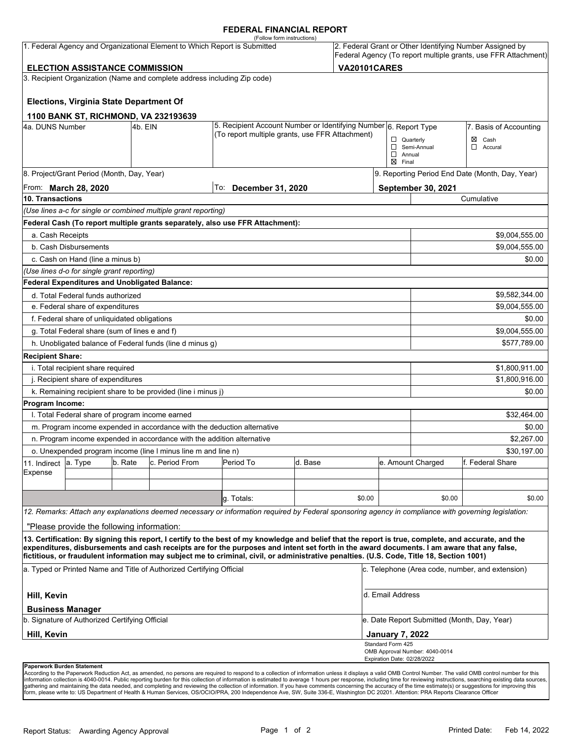#### **FEDERAL FINANCIAL REPORT**

|                                                                           |                                                      |         |                                                                          | (Follow form instructions)                                                                                                                                                                                                                                                                         |                                                                  |                                         |                                                                                                                            |                                                 |                  |  |
|---------------------------------------------------------------------------|------------------------------------------------------|---------|--------------------------------------------------------------------------|----------------------------------------------------------------------------------------------------------------------------------------------------------------------------------------------------------------------------------------------------------------------------------------------------|------------------------------------------------------------------|-----------------------------------------|----------------------------------------------------------------------------------------------------------------------------|-------------------------------------------------|------------------|--|
| 1. Federal Agency and Organizational Element to Which Report is Submitted |                                                      |         |                                                                          |                                                                                                                                                                                                                                                                                                    |                                                                  |                                         | 2. Federal Grant or Other Identifying Number Assigned by<br>Federal Agency (To report multiple grants, use FFR Attachment) |                                                 |                  |  |
| <b>VA20101CARES</b><br><b>ELECTION ASSISTANCE COMMISSION</b>              |                                                      |         |                                                                          |                                                                                                                                                                                                                                                                                                    |                                                                  |                                         |                                                                                                                            |                                                 |                  |  |
|                                                                           |                                                      |         | 3. Recipient Organization (Name and complete address including Zip code) |                                                                                                                                                                                                                                                                                                    |                                                                  |                                         |                                                                                                                            |                                                 |                  |  |
|                                                                           | <b>Elections, Virginia State Department Of</b>       |         |                                                                          |                                                                                                                                                                                                                                                                                                    |                                                                  |                                         |                                                                                                                            |                                                 |                  |  |
|                                                                           |                                                      |         | 1100 BANK ST, RICHMOND, VA 232193639                                     |                                                                                                                                                                                                                                                                                                    |                                                                  |                                         |                                                                                                                            |                                                 |                  |  |
| 4a. DUNS Number                                                           |                                                      | 4b. EIN |                                                                          |                                                                                                                                                                                                                                                                                                    | 5. Recipient Account Number or Identifying Number 6. Report Type |                                         |                                                                                                                            | 7. Basis of Accounting                          |                  |  |
| (To report multiple grants, use FFR Attachment)                           |                                                      |         |                                                                          |                                                                                                                                                                                                                                                                                                    |                                                                  | $\Box$ Quarterly                        |                                                                                                                            | $\boxtimes$ Cash                                |                  |  |
|                                                                           |                                                      |         |                                                                          |                                                                                                                                                                                                                                                                                                    | $\Box$<br>$\boxtimes$ Final                                      | Semi-Annual<br>$\Box$ Accural<br>Annual |                                                                                                                            |                                                 |                  |  |
|                                                                           | 8. Project/Grant Period (Month, Day, Year)           |         |                                                                          |                                                                                                                                                                                                                                                                                                    |                                                                  |                                         |                                                                                                                            | 9. Reporting Period End Date (Month, Day, Year) |                  |  |
| From: <b>March 28, 2020</b>                                               |                                                      |         |                                                                          | To:                                                                                                                                                                                                                                                                                                | <b>December 31, 2020</b>                                         |                                         |                                                                                                                            | <b>September 30, 2021</b>                       |                  |  |
| 10. Transactions                                                          |                                                      |         |                                                                          |                                                                                                                                                                                                                                                                                                    |                                                                  |                                         |                                                                                                                            | Cumulative                                      |                  |  |
|                                                                           |                                                      |         | (Use lines a-c for single or combined multiple grant reporting)          |                                                                                                                                                                                                                                                                                                    |                                                                  |                                         |                                                                                                                            |                                                 |                  |  |
|                                                                           |                                                      |         |                                                                          | Federal Cash (To report multiple grants separately, also use FFR Attachment):                                                                                                                                                                                                                      |                                                                  |                                         |                                                                                                                            |                                                 |                  |  |
| a. Cash Receipts                                                          |                                                      |         |                                                                          |                                                                                                                                                                                                                                                                                                    |                                                                  |                                         |                                                                                                                            |                                                 | \$9,004,555.00   |  |
|                                                                           | b. Cash Disbursements                                |         |                                                                          |                                                                                                                                                                                                                                                                                                    |                                                                  |                                         |                                                                                                                            |                                                 | \$9,004,555.00   |  |
|                                                                           | c. Cash on Hand (line a minus b)                     |         |                                                                          |                                                                                                                                                                                                                                                                                                    |                                                                  |                                         |                                                                                                                            |                                                 | \$0.00           |  |
|                                                                           | (Use lines d-o for single grant reporting)           |         |                                                                          |                                                                                                                                                                                                                                                                                                    |                                                                  |                                         |                                                                                                                            |                                                 |                  |  |
|                                                                           | <b>Federal Expenditures and Unobligated Balance:</b> |         |                                                                          |                                                                                                                                                                                                                                                                                                    |                                                                  |                                         |                                                                                                                            |                                                 |                  |  |
|                                                                           | d. Total Federal funds authorized                    |         |                                                                          |                                                                                                                                                                                                                                                                                                    |                                                                  |                                         |                                                                                                                            |                                                 | \$9,582,344.00   |  |
| e. Federal share of expenditures                                          |                                                      |         |                                                                          |                                                                                                                                                                                                                                                                                                    |                                                                  |                                         |                                                                                                                            |                                                 | \$9,004,555.00   |  |
|                                                                           | f. Federal share of unliquidated obligations         |         |                                                                          |                                                                                                                                                                                                                                                                                                    |                                                                  |                                         |                                                                                                                            |                                                 | \$0.00           |  |
|                                                                           | g. Total Federal share (sum of lines e and f)        |         |                                                                          |                                                                                                                                                                                                                                                                                                    |                                                                  |                                         |                                                                                                                            |                                                 | \$9,004,555.00   |  |
|                                                                           |                                                      |         | h. Unobligated balance of Federal funds (line d minus g)                 |                                                                                                                                                                                                                                                                                                    |                                                                  |                                         |                                                                                                                            |                                                 | \$577,789.00     |  |
| <b>Recipient Share:</b>                                                   |                                                      |         |                                                                          |                                                                                                                                                                                                                                                                                                    |                                                                  |                                         |                                                                                                                            |                                                 |                  |  |
|                                                                           | i. Total recipient share required                    |         |                                                                          |                                                                                                                                                                                                                                                                                                    |                                                                  |                                         |                                                                                                                            |                                                 | \$1,800,911.00   |  |
|                                                                           | j. Recipient share of expenditures                   |         |                                                                          |                                                                                                                                                                                                                                                                                                    |                                                                  |                                         |                                                                                                                            | \$1,800,916.00                                  |                  |  |
|                                                                           |                                                      |         | k. Remaining recipient share to be provided (line i minus j)             |                                                                                                                                                                                                                                                                                                    |                                                                  |                                         |                                                                                                                            |                                                 | \$0.00           |  |
| Program Income:                                                           |                                                      |         |                                                                          |                                                                                                                                                                                                                                                                                                    |                                                                  |                                         |                                                                                                                            |                                                 |                  |  |
|                                                                           | I. Total Federal share of program income earned      |         |                                                                          |                                                                                                                                                                                                                                                                                                    |                                                                  |                                         |                                                                                                                            |                                                 | \$32,464.00      |  |
|                                                                           |                                                      |         |                                                                          | m. Program income expended in accordance with the deduction alternative                                                                                                                                                                                                                            |                                                                  |                                         |                                                                                                                            |                                                 | \$0.00           |  |
|                                                                           |                                                      |         | n. Program income expended in accordance with the addition alternative   |                                                                                                                                                                                                                                                                                                    |                                                                  |                                         |                                                                                                                            | \$2,267.00                                      |                  |  |
|                                                                           |                                                      |         | o. Unexpended program income (line I minus line m and line n)            |                                                                                                                                                                                                                                                                                                    |                                                                  |                                         |                                                                                                                            | \$30,197.00                                     |                  |  |
| 11. Indirect                                                              | a. Type                                              | b. Rate | c. Period From                                                           | Period To                                                                                                                                                                                                                                                                                          | d. Base                                                          |                                         | e. Amount Charged                                                                                                          |                                                 | f. Federal Share |  |
| Expense                                                                   |                                                      |         |                                                                          |                                                                                                                                                                                                                                                                                                    |                                                                  |                                         |                                                                                                                            |                                                 |                  |  |
|                                                                           |                                                      |         |                                                                          |                                                                                                                                                                                                                                                                                                    |                                                                  |                                         |                                                                                                                            |                                                 |                  |  |
|                                                                           |                                                      |         |                                                                          | q. Totals:                                                                                                                                                                                                                                                                                         |                                                                  | \$0.00                                  |                                                                                                                            | \$0.00                                          | \$0.00           |  |
|                                                                           |                                                      |         |                                                                          | 12. Remarks: Attach any explanations deemed necessary or information required by Federal sponsoring agency in compliance with governing legislation:                                                                                                                                               |                                                                  |                                         |                                                                                                                            |                                                 |                  |  |
|                                                                           | "Please provide the following information:           |         |                                                                          |                                                                                                                                                                                                                                                                                                    |                                                                  |                                         |                                                                                                                            |                                                 |                  |  |
|                                                                           |                                                      |         |                                                                          | 13. Certification: By signing this report, I certify to the best of my knowledge and belief that the report is true, complete, and accurate, and the<br>expenditures, disbursements and cash receipts are for the purposes and intent set forth in the award documents. I am aware that any false, |                                                                  |                                         |                                                                                                                            |                                                 |                  |  |
|                                                                           |                                                      |         |                                                                          | fictitious, or fraudulent information may subject me to criminal, civil, or administrative penalties. (U.S. Code, Title 18, Section 1001)                                                                                                                                                          |                                                                  |                                         |                                                                                                                            |                                                 |                  |  |
| a. Typed or Printed Name and Title of Authorized Certifying Official      |                                                      |         |                                                                          |                                                                                                                                                                                                                                                                                                    |                                                                  |                                         | c. Telephone (Area code, number, and extension)                                                                            |                                                 |                  |  |
| Hill, Kevin                                                               |                                                      |         |                                                                          |                                                                                                                                                                                                                                                                                                    |                                                                  |                                         | d. Email Address                                                                                                           |                                                 |                  |  |
|                                                                           | <b>Business Manager</b>                              |         |                                                                          |                                                                                                                                                                                                                                                                                                    |                                                                  |                                         |                                                                                                                            |                                                 |                  |  |
| b. Signature of Authorized Certifying Official                            |                                                      |         |                                                                          |                                                                                                                                                                                                                                                                                                    |                                                                  |                                         | e. Date Report Submitted (Month, Day, Year)                                                                                |                                                 |                  |  |
| Hill, Kevin                                                               |                                                      |         |                                                                          |                                                                                                                                                                                                                                                                                                    |                                                                  |                                         | <b>January 7, 2022</b>                                                                                                     |                                                 |                  |  |
|                                                                           |                                                      |         |                                                                          |                                                                                                                                                                                                                                                                                                    |                                                                  |                                         | Standard Form 425<br>Expiration Date: 02/28/2022                                                                           | OMB Approval Number: 4040-0014                  |                  |  |
| <b>Paperwork Burden Statement</b>                                         |                                                      |         |                                                                          |                                                                                                                                                                                                                                                                                                    |                                                                  |                                         |                                                                                                                            |                                                 |                  |  |

According to the Paperwork Reduction Act, as amended, no persons are required to respond to a collection of information unless it displays a valid OMB Control Number. The valid OMB control number for this<br>information colle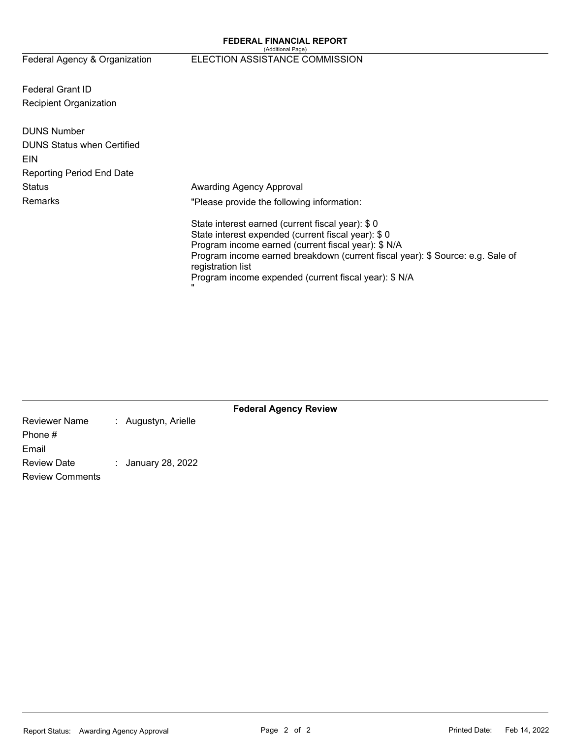#### (Additional Page) Federal Agency & Organization ELECTION ASSISTANCE COMMISSION

Federal Grant ID Recipient Organization

| <b>DUNS Number</b>                |                                                                                                                                                                                                                                                                                                                                    |
|-----------------------------------|------------------------------------------------------------------------------------------------------------------------------------------------------------------------------------------------------------------------------------------------------------------------------------------------------------------------------------|
| <b>DUNS Status when Certified</b> |                                                                                                                                                                                                                                                                                                                                    |
| EIN                               |                                                                                                                                                                                                                                                                                                                                    |
| <b>Reporting Period End Date</b>  |                                                                                                                                                                                                                                                                                                                                    |
| <b>Status</b>                     | Awarding Agency Approval                                                                                                                                                                                                                                                                                                           |
| <b>Remarks</b>                    | "Please provide the following information:                                                                                                                                                                                                                                                                                         |
|                                   | State interest earned (current fiscal year): \$0<br>State interest expended (current fiscal year): \$0<br>Program income earned (current fiscal year): \$ N/A<br>Program income earned breakdown (current fiscal year): \$ Source: e.g. Sale of<br>registration list<br>Program income expended (current fiscal year): \$ N/A<br>ш |

|                        |                     | <b>Federal Agency Review</b> |  |
|------------------------|---------------------|------------------------------|--|
| <b>Reviewer Name</b>   | : Augustyn, Arielle |                              |  |
| Phone #                |                     |                              |  |
| Email                  |                     |                              |  |
| <b>Review Date</b>     | : January 28, 2022  |                              |  |
| <b>Review Comments</b> |                     |                              |  |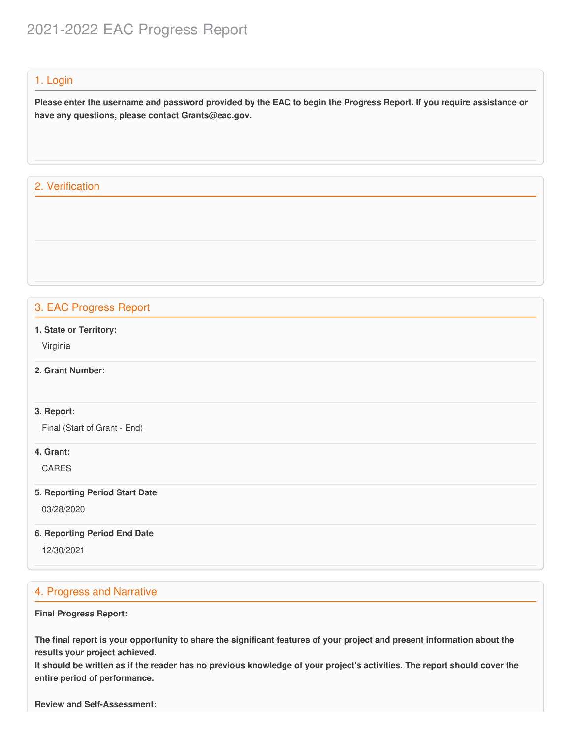# 2021-2022 EAC Progress Report

## 1. Login

Please enter the username and password provided by the EAC to begin the Progress Report. If you require assistance or  **have any questions, please contact [Grants@eac.gov](mailto:Grants@eac.gov).**

# 2. Verification

# 3. EAC Progress Report

 **1. State or Territory:**

Virginia

## **2. Grant Number:**

#### **3. Report:**

Final (Start of Grant - End)

### **4. Grant:**

CARES

#### **5. Reporting Period Start Date**

03/28/2020

#### **6. Reporting Period End Date**

12/30/2021

# 4. Progress and Narrative

#### **Final Progress Report:**

The final report is your opportunity to share the significant features of your project and present information about the  **results your project achieved.**

It should be written as if the reader has no previous knowledge of your project's activities. The report should cover the  **entire period of performance.**

 **Review and Self-Assessment:**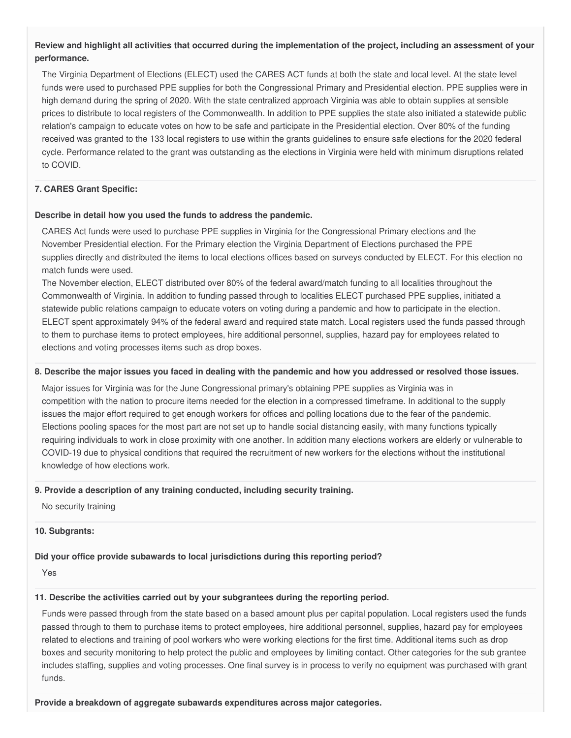### Review and highlight all activities that occurred during the implementation of the project, including an assessment of your **performance.**

 The Virginia Department of Elections (ELECT) used the CARES ACT funds at both the state and local level. At the state level funds were used to purchased PPE supplies for both the Congressional Primary and Presidential election. PPE supplies were in high demand during the spring of 2020. With the state centralized approach Virginia was able to obtain supplies at sensible prices to distribute to local registers of the Commonwealth. In addition to PPE supplies the state also initiated a statewide public relation's campaign to educate votes on how to be safe and participate in the Presidential election. Over 80% of the funding received was granted to the 133 local registers to use within the grants guidelines to ensure safe elections for the 2020 federal cycle. Performance related to the grant was outstanding as the elections in Virginia were held with minimum disruptions related to COVID.

#### **7. CARES Grant Specific:**

#### **Describe in detail how you used the funds to address the pandemic.**

 CARES Act funds were used to purchase PPE supplies in Virginia for the Congressional Primary elections and the November Presidential election. For the Primary election the Virginia Department of Elections purchased the PPE supplies directly and distributed the items to local elections offices based on surveys conducted by ELECT. For this election no match funds were used.

 The November election, ELECT distributed over 80% of the federal award/match funding to all localities throughout the Commonwealth of Virginia. In addition to funding passed through to localities ELECT purchased PPE supplies, initiated a statewide public relations campaign to educate voters on voting during a pandemic and how to participate in the election. ELECT spent approximately 94% of the federal award and required state match. Local registers used the funds passed through to them to purchase items to protect employees, hire additional personnel, supplies, hazard pay for employees related to elections and voting processes items such as drop boxes.

#### 8. Describe the major issues you faced in dealing with the pandemic and how you addressed or resolved those issues.

 Major issues for Virginia was for the June Congressional primary's obtaining PPE supplies as Virginia was in competition with the nation to procure items needed for the election in a compressed timeframe. In additional to the supply issues the major effort required to get enough workers for offices and polling locations due to the fear of the pandemic. Elections pooling spaces for the most part are not set up to handle social distancing easily, with many functions typically requiring individuals to work in close proximity with one another. In addition many elections workers are elderly or vulnerable to COVID-19 due to physical conditions that required the recruitment of new workers for the elections without the institutional knowledge of how elections work.

#### **9. Provide a description of any training conducted, including security training.**

No security training

#### **10. Subgrants:**

#### **Did your office provide subawards to local jurisdictions during this reporting period?**

Yes

#### **11. Describe the activities carried out by your subgrantees during the reporting period.**

 Funds were passed through from the state based on a based amount plus per capital population. Local registers used the funds passed through to them to purchase items to protect employees, hire additional personnel, supplies, hazard pay for employees related to elections and training of pool workers who were working elections for the first time. Additional items such as drop boxes and security monitoring to help protect the public and employees by limiting contact. Other categories for the sub grantee includes staffing, supplies and voting processes. One final survey is in process to verify no equipment was purchased with grant funds.

 **Provide a breakdown of aggregate subawards expenditures across major categories.**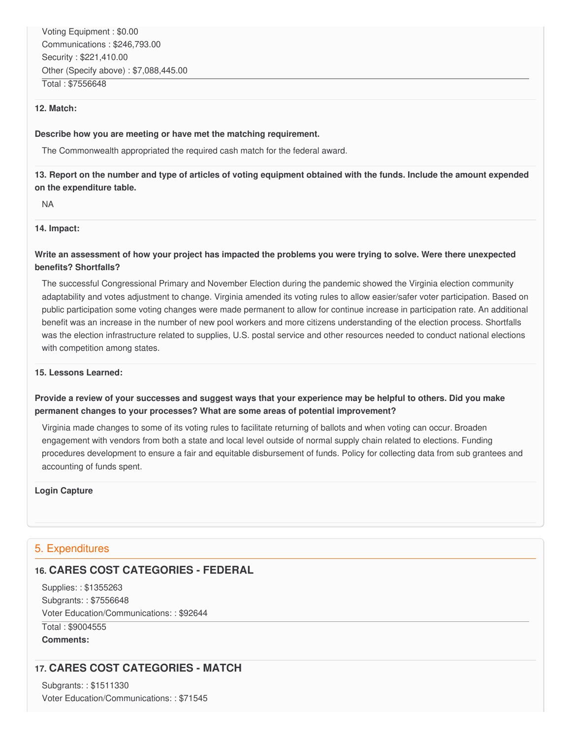#### **12. Match:**

#### **Describe how you are meeting or have met the matching requirement.**

The Commonwealth appropriated the required cash match for the federal award.

### 13. Report on the number and type of articles of voting equipment obtained with the funds. Include the amount expended  **on the expenditure table.**

NA

#### **14. Impact:**

### Write an assessment of how your project has impacted the problems you were trying to solve. Were there unexpected **benefits? Shortfalls?**

 The successful Congressional Primary and November Election during the pandemic showed the Virginia election community adaptability and votes adjustment to change. Virginia amended its voting rules to allow easier/safer voter participation. Based on public participation some voting changes were made permanent to allow for continue increase in participation rate. An additional benefit was an increase in the number of new pool workers and more citizens understanding of the election process. Shortfalls was the election infrastructure related to supplies, U.S. postal service and other resources needed to conduct national elections with competition among states.

#### **15. Lessons Learned:**

### Provide a review of your successes and suggest ways that your experience may be helpful to others. Did you make  **permanent changes to your processes? What are some areas of potential improvement?**

 Virginia made changes to some of its voting rules to facilitate returning of ballots and when voting can occur. Broaden engagement with vendors from both a state and local level outside of normal supply chain related to elections. Funding procedures development to ensure a fair and equitable disbursement of funds. Policy for collecting data from sub grantees and accounting of funds spent.

#### **Login Capture**

### 5. Expenditures

# **16. CARES COST CATEGORIES - FEDERAL**

 Supplies: : \$1355263 Subgrants: : \$7556648 Voter Education/Communications: : \$92644 Total : \$9004555

**Comments:**

# **17. CARES COST CATEGORIES - MATCH**

 Subgrants: : \$1511330 Voter Education/Communications: : \$71545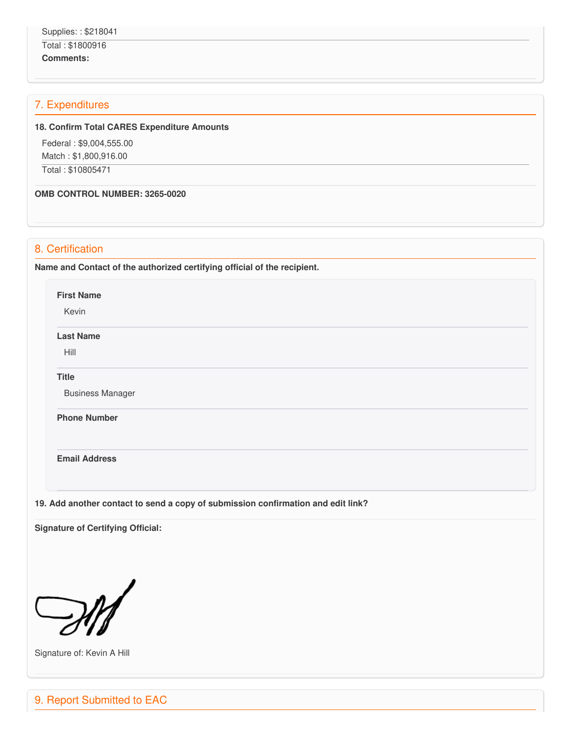#### Total : \$1800916

**Comments:**

# 7. Expenditures

#### **18. Confirm Total CARES Expenditure Amounts**

 Federal : \$[9,004,555.00](https://9,004,555.00) Match : \$[1,800,916.00](https://1,800,916.00) Total : \$10805471

 **OMB CONTROL NUMBER: 3265-0020**

# 8. Certification

 **Name and Contact of the authorized certifying official of the recipient.**

**First Name**

Kevin

**Last Name**

Hill

**Title**

Business Manager

**Phone Number** 

**Email Address**

 **19. Add another contact to send a copy of submission confirmation and edit link?**

 **Signature of Certifying Official:**



Signature of: Kevin A Hill

9. Report Submitted to EAC